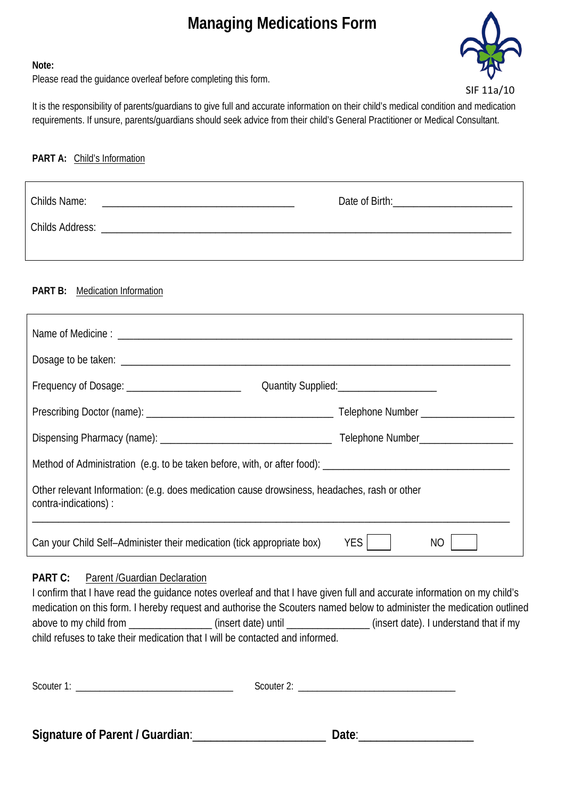# **Managing Medications Form**



#### **Note:**

Please read the guidance overleaf before completing this form.

It is the responsibility of parents/guardians to give full and accurate information on their child's medical condition and medication requirements. If unsure, parents/guardians should seek advice from their child's General Practitioner or Medical Consultant.

#### **PART A:** Child's Information

| Childs Name:    |  |  |
|-----------------|--|--|
| Childs Address: |  |  |
|                 |  |  |

## **PART B:** Medication Information

| Frequency of Dosage: ___________________________                                                                     | Quantity Supplied:<br><u> Cuantity Supplied:</u> |  |  |  |
|----------------------------------------------------------------------------------------------------------------------|--------------------------------------------------|--|--|--|
|                                                                                                                      |                                                  |  |  |  |
|                                                                                                                      |                                                  |  |  |  |
|                                                                                                                      |                                                  |  |  |  |
| Other relevant Information: (e.g. does medication cause drowsiness, headaches, rash or other<br>contra-indications): |                                                  |  |  |  |
| Can your Child Self-Administer their medication (tick appropriate box)                                               | <b>YES</b><br>NO                                 |  |  |  |

## **PART C:** Parent /Guardian Declaration

I confirm that I have read the guidance notes overleaf and that I have given full and accurate information on my child's medication on this form. I hereby request and authorise the Scouters named below to administer the medication outlined above to my child from \_\_\_\_\_\_\_\_\_\_\_\_\_\_\_\_\_\_\_\_\_\_(insert date) until \_\_\_\_\_\_\_\_\_\_\_\_\_\_\_\_\_\_\_\_\_(insert date). I understand that if my child refuses to take their medication that I will be contacted and informed.

| Scouter 1: | Scouter 2: |
|------------|------------|
|            |            |
|            |            |

**Signature of Parent / Guardian**:\_\_\_\_\_\_\_\_\_\_\_\_\_\_\_\_\_\_\_\_\_\_ **Date**:\_\_\_\_\_\_\_\_\_\_\_\_\_\_\_\_\_\_\_